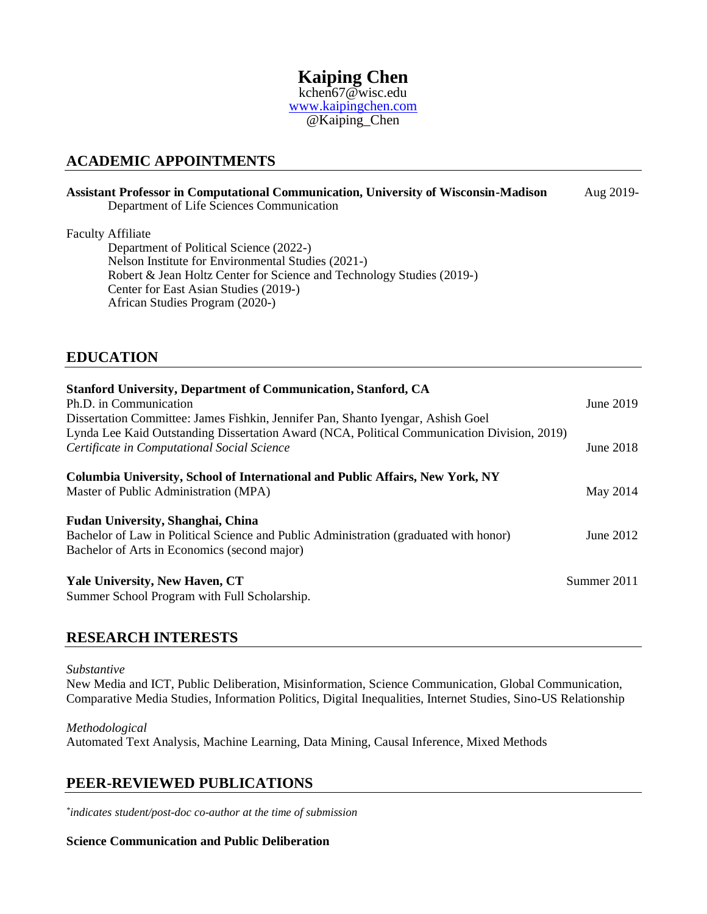**Kaiping Chen** kchen67@wisc.edu [www.kaipingchen.com](http://www.kaipingchen.com/)

@Kaiping\_Chen

## **ACADEMIC APPOINTMENTS**

# **Assistant Professor in Computational Communication, University of Wisconsin-Madison** Aug 2019-

Department of Life Sciences Communication

### Faculty Affiliate

Department of Political Science (2022-) Nelson Institute for Environmental Studies (2021-) Robert & Jean Holtz Center for Science and Technology Studies (2019-) Center for East Asian Studies (2019-) African Studies Program (2020-)

# **EDUCATION**

| <b>Stanford University, Department of Communication, Stanford, CA</b><br>Ph.D. in Communication<br>Dissertation Committee: James Fishkin, Jennifer Pan, Shanto Iyengar, Ashish Goel | June $2019$ |
|-------------------------------------------------------------------------------------------------------------------------------------------------------------------------------------|-------------|
| Lynda Lee Kaid Outstanding Dissertation Award (NCA, Political Communication Division, 2019)<br>Certificate in Computational Social Science                                          | June 2018   |
| Columbia University, School of International and Public Affairs, New York, NY<br>Master of Public Administration (MPA)                                                              | May 2014    |
| Fudan University, Shanghai, China<br>Bachelor of Law in Political Science and Public Administration (graduated with honor)<br>Bachelor of Arts in Economics (second major)          | June 2012   |
| <b>Yale University, New Haven, CT</b><br>Summer School Program with Full Scholarship.                                                                                               | Summer 2011 |

## **RESEARCH INTERESTS**

#### *Substantive*

New Media and ICT, Public Deliberation, Misinformation, Science Communication, Global Communication, Comparative Media Studies, Information Politics, Digital Inequalities, Internet Studies, Sino-US Relationship

### *Methodological*

Automated Text Analysis, Machine Learning, Data Mining, Causal Inference, Mixed Methods

## **PEER-REVIEWED PUBLICATIONS**

*\* indicates student/post-doc co-author at the time of submission*

### **Science Communication and Public Deliberation**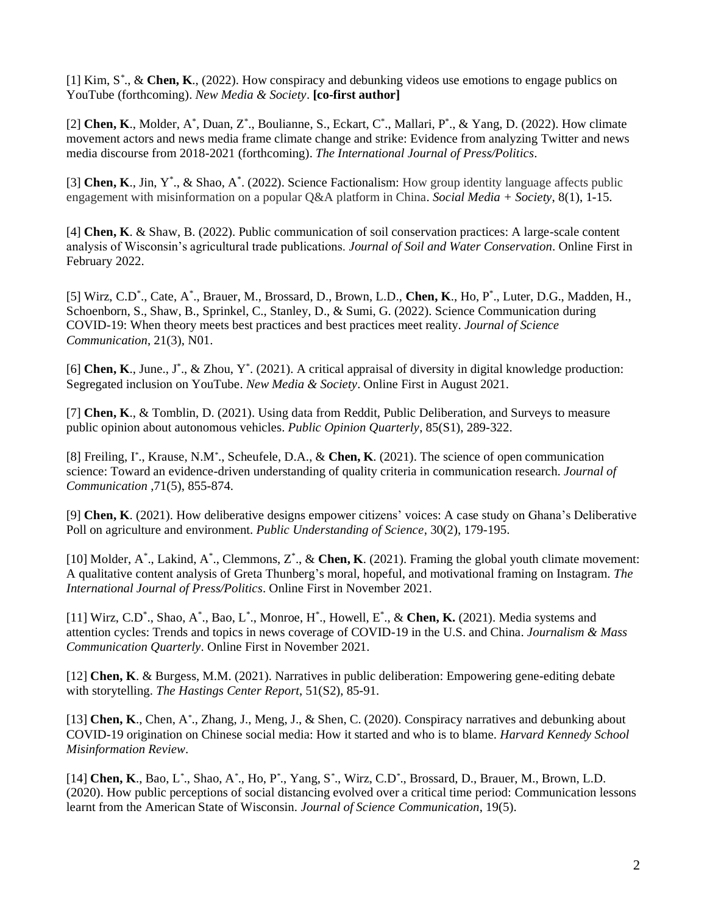[1] Kim, S*\** ., & **Chen, K**., (2022). How conspiracy and debunking videos use emotions to engage publics on YouTube (forthcoming). *New Media & Society*. **[co-first author]**

[2] **Chen, K**., Molder, A\*, Duan, Z\*., Boulianne, S., Eckart, C\*., Mallari, P\*., & Yang, D. (2022). How climate movement actors and news media frame climate change and strike: Evidence from analyzing Twitter and news media discourse from 2018-2021 (forthcoming). *The International Journal of Press/Politics*.

[3] Chen, K., Jin, Y<sup>\*</sup>., & Shao, A<sup>\*</sup>. (2022). Science Factionalism: How group identity language affects public engagement with misinformation on a popular Q&A platform in China. *Social Media + Society*, 8(1), 1-15.

[4] **Chen, K**. & Shaw, B. (2022). Public communication of soil conservation practices: A large-scale content analysis of Wisconsin's agricultural trade publications. *Journal of Soil and Water Conservation*. Online First in February 2022.

[5] Wirz, C.D<sup>\*</sup>., Cate, A<sup>\*</sup>., Brauer, M., Brossard, D., Brown, L.D., Chen, K., Ho, P<sup>\*</sup>., Luter, D.G., Madden, H., Schoenborn, S., Shaw, B., Sprinkel, C., Stanley, D., & Sumi, G. (2022). Science Communication during COVID-19: When theory meets best practices and best practices meet reality. *Journal of Science Communication*, 21(3), N01.

[6] Chen, K., June., J<sup>\*</sup>., & Zhou, Y<sup>\*</sup>. (2021). A critical appraisal of diversity in digital knowledge production: Segregated inclusion on YouTube. *New Media & Society*. Online First in August 2021.

[7] **Chen, K**., & Tomblin, D. (2021). Using data from Reddit, Public Deliberation, and Surveys to measure public opinion about autonomous vehicles. *Public Opinion Quarterly*, 85(S1), 289-322.

[8] Freiling, I*\** ., Krause, N.M*\** ., Scheufele, D.A., & **Chen, K**. (2021). The science of open communication science: Toward an evidence-driven understanding of quality criteria in communication research. *Journal of Communication* ,71(5), 855-874.

[9] **Chen, K**. (2021). How deliberative designs empower citizens' voices: A case study on Ghana's Deliberative Poll on agriculture and environment. *Public Understanding of Science*, 30(2), 179-195.

[10] Molder, A<sup>\*</sup>., Lakind, A<sup>\*</sup>., Clemmons, Z<sup>\*</sup>., & **Chen, K**. (2021). Framing the global youth climate movement: A qualitative content analysis of Greta Thunberg's moral, hopeful, and motivational framing on Instagram. *The International Journal of Press/Politics*. Online First in November 2021.

[11] Wirz, C.D<sup>\*</sup>., Shao, A<sup>\*</sup>., Bao, L<sup>\*</sup>., Monroe, H<sup>\*</sup>., Howell, E<sup>\*</sup>., & Chen, K. (2021). Media systems and attention cycles: Trends and topics in news coverage of COVID-19 in the U.S. and China. *Journalism & Mass Communication Quarterly*. Online First in November 2021.

[12] **Chen, K**. & Burgess, M.M. (2021). Narratives in public deliberation: Empowering gene-editing debate with storytelling. *The Hastings Center Report*, 51(S2), 85-91.

[13] Chen, K., Chen, A<sup>\*</sup>., Zhang, J., Meng, J., & Shen, C. (2020). Conspiracy narratives and debunking about COVID-19 origination on Chinese social media: How it started and who is to blame. *Harvard Kennedy School Misinformation Review*.

[14] **Chen, K**., Bao, L*\** ., Shao, A*\** ., Ho, P*\** ., Yang, S*\** ., Wirz, C.D*\** ., Brossard, D., Brauer, M., Brown, L.D. (2020). How public perceptions of social distancing evolved over a critical time period: Communication lessons learnt from the American State of Wisconsin. *Journal of Science Communication*, 19(5).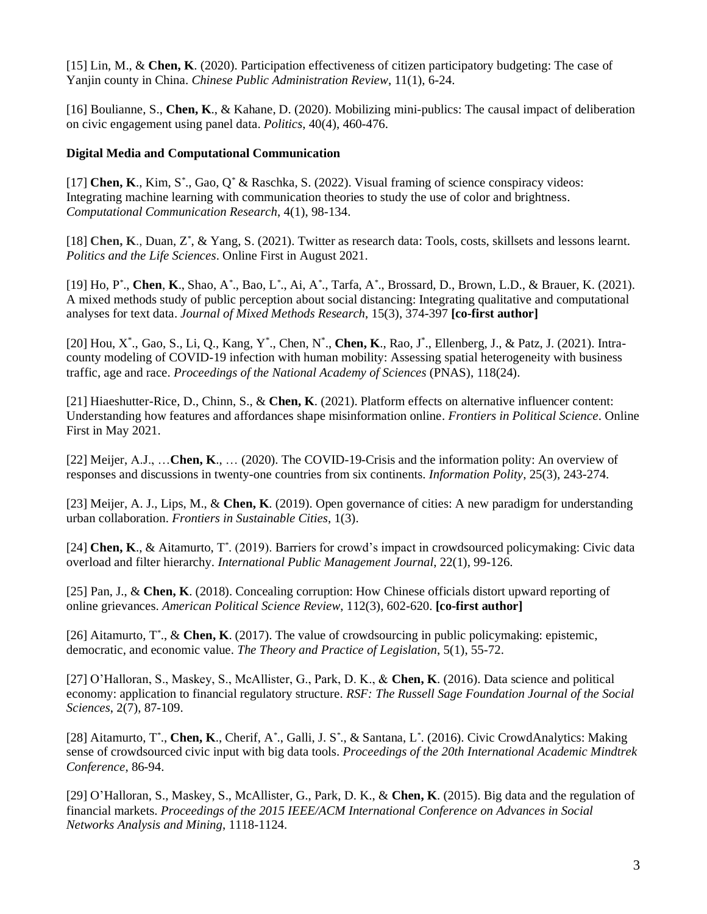[15] Lin, M., & **Chen, K**. (2020). Participation effectiveness of citizen participatory budgeting: The case of Yanjin county in China. *Chinese Public Administration Review*, 11(1), 6-24.

[16] Boulianne, S., **Chen, K**., & Kahane, D. (2020). Mobilizing mini-publics: The causal impact of deliberation on civic engagement using panel data. *Politics*, 40(4), 460-476.

### **Digital Media and Computational Communication**

[17] **Chen, K**., Kim, S*\** ., Gao, Q*\** & Raschka, S. (2022). Visual framing of science conspiracy videos: Integrating machine learning with communication theories to study the use of color and brightness. *Computational Communication Research*, 4(1), 98-134.

[18] **Chen, K**., Duan, Z*\** , & Yang, S. (2021). Twitter as research data: Tools, costs, skillsets and lessons learnt. *Politics and the Life Sciences*. Online First in August 2021.

[19] Ho, P*\** ., **Chen**, **K**., Shao, A*\** ., Bao, L*\** ., Ai, A*\** ., Tarfa, A*\** ., Brossard, D., Brown, L.D., & Brauer, K. (2021). A mixed methods study of public perception about social distancing: Integrating qualitative and computational analyses for text data. *Journal of Mixed Methods Research*, 15(3), 374-397 **[co-first author]**

[20] Hou, X<sup>\*</sup>., Gao, S., Li, Q., Kang, Y<sup>\*</sup>., Chen, N<sup>\*</sup>., **Chen, K**., Rao, J<sup>\*</sup>., Ellenberg, J., & Patz, J. (2021). Intracounty modeling of COVID-19 infection with human mobility: Assessing spatial heterogeneity with business traffic, age and race. *Proceedings of the National Academy of Sciences* (PNAS), 118(24).

[21] Hiaeshutter-Rice, D., Chinn, S., & **Chen, K**. (2021). Platform effects on alternative influencer content: Understanding how features and affordances shape misinformation online. *Frontiers in Political Science*. Online First in May 2021.

[22] Meijer, A.J., …**Chen, K**., … (2020). The COVID-19-Crisis and the information polity: An overview of responses and discussions in twenty-one countries from six continents. *Information Polity*, 25(3), 243-274.

[23] Meijer, A. J., Lips, M., & **Chen, K**. (2019). Open governance of cities: A new paradigm for understanding urban collaboration. *Frontiers in Sustainable Cities*, 1(3).

[24] **Chen, K**., & Aitamurto, T*\** . (2019). Barriers for crowd's impact in crowdsourced policymaking: Civic data overload and filter hierarchy. *International Public Management Journal*, 22(1), 99-126.

[25] Pan, J., & **Chen, K**. (2018). Concealing corruption: How Chinese officials distort upward reporting of online grievances. *American Political Science Review*, 112(3), 602-620. **[co-first author]**

[26] Aitamurto, T*\** ., & **Chen, K**. (2017). The value of crowdsourcing in public policymaking: epistemic, democratic, and economic value. *The Theory and Practice of Legislation*, 5(1), 55-72.

[27] O'Halloran, S., Maskey, S., McAllister, G., Park, D. K., & **Chen, K**. (2016). Data science and political economy: application to financial regulatory structure. *RSF: The Russell Sage Foundation Journal of the Social Sciences*, 2(7), 87-109.

[28] Aitamurto, T*\** ., **Chen, K**., Cherif, A*\** ., Galli, J. S*\** ., & Santana, L*\** . (2016). Civic CrowdAnalytics: Making sense of crowdsourced civic input with big data tools. *Proceedings of the 20th International Academic Mindtrek Conference*, 86-94.

[29] O'Halloran, S., Maskey, S., McAllister, G., Park, D. K., & **Chen, K**. (2015). Big data and the regulation of financial markets. *Proceedings of the 2015 IEEE/ACM International Conference on Advances in Social Networks Analysis and Mining*, 1118-1124.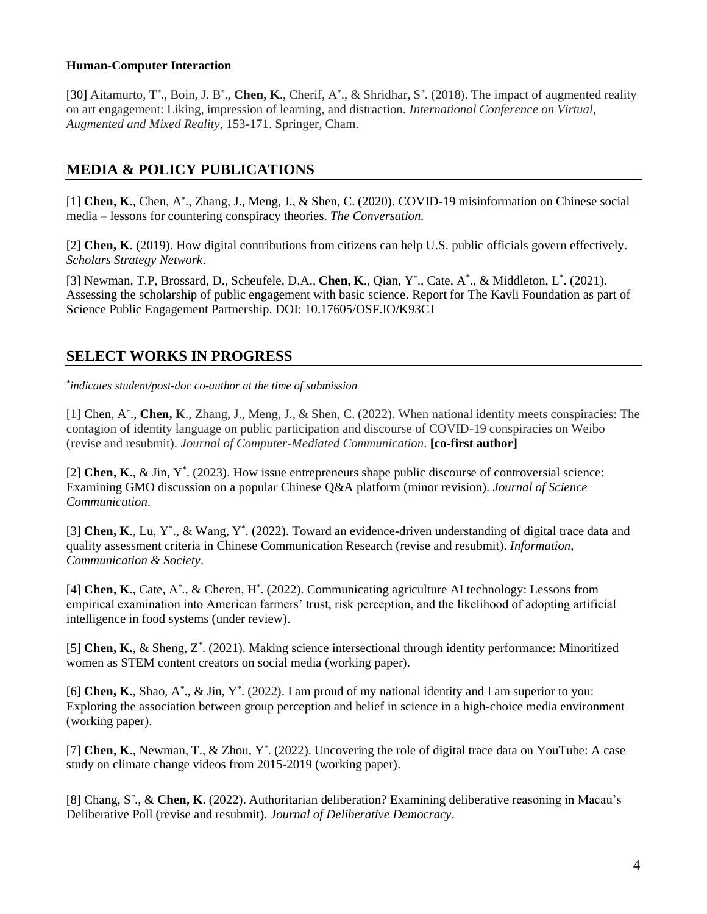### **Human-Computer Interaction**

[30] Aitamurto, T*\** ., Boin, J. B*\** ., **Chen, K**., Cherif, A*\** ., & Shridhar, S*\** . (2018). The impact of augmented reality on art engagement: Liking, impression of learning, and distraction. *International Conference on Virtual, Augmented and Mixed Reality*, 153-171. Springer, Cham.

# **MEDIA & POLICY PUBLICATIONS**

[1] **Chen, K**., Chen, A*\** ., Zhang, J., Meng, J., & Shen, C. (2020). COVID-19 misinformation on Chinese social media – lessons for countering conspiracy theories. *The Conversation.*

[2] **Chen, K**. (2019). How digital contributions from citizens can help U.S. public officials govern effectively. *Scholars Strategy Network*.

[3] Newman, T.P, Brossard, D., Scheufele, D.A., Chen, K., Qian, Y<sup>\*</sup>., Cate, A<sup>\*</sup>., & Middleton, L<sup>\*</sup>. (2021). Assessing the scholarship of public engagement with basic science. Report for The Kavli Foundation as part of Science Public Engagement Partnership. DOI: 10.17605/OSF.IO/K93CJ

# **SELECT WORKS IN PROGRESS**

*\* indicates student/post-doc co-author at the time of submission*

[1] Chen, A*\** ., **Chen, K**., Zhang, J., Meng, J., & Shen, C. (2022). When national identity meets conspiracies: The contagion of identity language on public participation and discourse of COVID-19 conspiracies on Weibo (revise and resubmit). *Journal of Computer-Mediated Communication*. **[co-first author]**

[2] **Chen, K**., & Jin, Y<sup>\*</sup>. (2023). How issue entrepreneurs shape public discourse of controversial science: Examining GMO discussion on a popular Chinese Q&A platform (minor revision). *Journal of Science Communication*.

[3] Chen, K., Lu, Y<sup>\*</sup>., & Wang, Y<sup>\*</sup>. (2022). Toward an evidence-driven understanding of digital trace data and quality assessment criteria in Chinese Communication Research (revise and resubmit). *Information, Communication & Society*.

[4] **Chen, K**., Cate, A*\** ., & Cheren, H*\** . (2022). Communicating agriculture AI technology: Lessons from empirical examination into American farmers' trust, risk perception, and the likelihood of adopting artificial intelligence in food systems (under review).

[5] Chen, K., & Sheng, Z<sup>\*</sup>. (2021). Making science intersectional through identity performance: Minoritized women as STEM content creators on social media (working paper).

[6] **Chen, K**., Shao, A<sup>\*</sup>., & Jin, Y<sup>\*</sup>. (2022). I am proud of my national identity and I am superior to you: Exploring the association between group perception and belief in science in a high-choice media environment (working paper).

[7] **Chen, K**., Newman, T., & Zhou, Y*\** . (2022). Uncovering the role of digital trace data on YouTube: A case study on climate change videos from 2015-2019 (working paper).

[8] Chang, S*\** ., & **Chen, K**. (2022). Authoritarian deliberation? Examining deliberative reasoning in Macau's Deliberative Poll (revise and resubmit). *Journal of Deliberative Democracy*.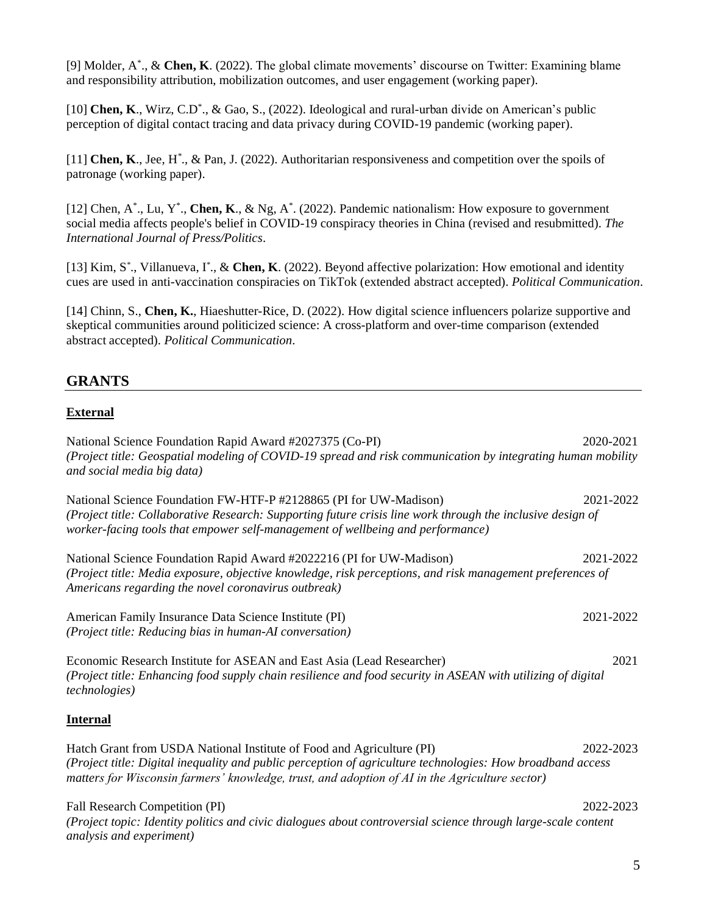[9] Molder, A\* ., & **Chen, K**. (2022). The global climate movements' discourse on Twitter: Examining blame and responsibility attribution, mobilization outcomes, and user engagement (working paper).

[10] Chen, K., Wirz, C.D<sup>\*</sup>., & Gao, S., (2022). Ideological and rural-urban divide on American's public perception of digital contact tracing and data privacy during COVID-19 pandemic (working paper).

[11] **Chen, K**., Jee, H*\** ., & Pan, J. (2022). Authoritarian responsiveness and competition over the spoils of patronage (working paper).

[12] Chen,  $A^*$ ., Lu, Y<sup>\*</sup>., Chen, K., & Ng,  $A^*$ . (2022). Pandemic nationalism: How exposure to government social media affects people's belief in COVID-19 conspiracy theories in China (revised and resubmitted). *The International Journal of Press/Politics*.

[13] Kim, S<sup>\*</sup>., Villanueva, I<sup>\*</sup>., & Chen, K. (2022). Beyond affective polarization: How emotional and identity cues are used in anti-vaccination conspiracies on TikTok (extended abstract accepted). *Political Communication*.

[14] Chinn, S., **Chen, K.**, Hiaeshutter-Rice, D. (2022). How digital science influencers polarize supportive and skeptical communities around politicized science: A cross-platform and over-time comparison (extended abstract accepted). *Political Communication*.

# **GRANTS**

### **External**

National Science Foundation Rapid Award #2027375 (Co-PI) 2020-2021 *(Project title: Geospatial modeling of COVID-19 spread and risk communication by integrating human mobility and social media big data)* National Science Foundation FW-HTF-P #2128865 (PI for UW-Madison) 2021-2022 *(Project title: Collaborative Research: Supporting future crisis line work through the inclusive design of worker-facing tools that empower self-management of wellbeing and performance)* National Science Foundation Rapid Award #2022216 (PI for UW-Madison) 2021-2022 *(Project title: Media exposure, objective knowledge, risk perceptions, and risk management preferences of Americans regarding the novel coronavirus outbreak)* American Family Insurance Data Science Institute (PI) 2021-2022 *(Project title: Reducing bias in human-AI conversation)* Economic Research Institute for ASEAN and East Asia (Lead Researcher) 2021 *(Project title: Enhancing food supply chain resilience and food security in ASEAN with utilizing of digital technologies)* **Internal** Hatch Grant from USDA National Institute of Food and Agriculture (PI) 2022-2023 *(Project title: Digital inequality and public perception of agriculture technologies: How broadband access matters for Wisconsin farmers' knowledge, trust, and adoption of AI in the Agriculture sector)*

Fall Research Competition (PI) 2022-2023 *(Project topic: Identity politics and civic dialogues about controversial science through large-scale content analysis and experiment)*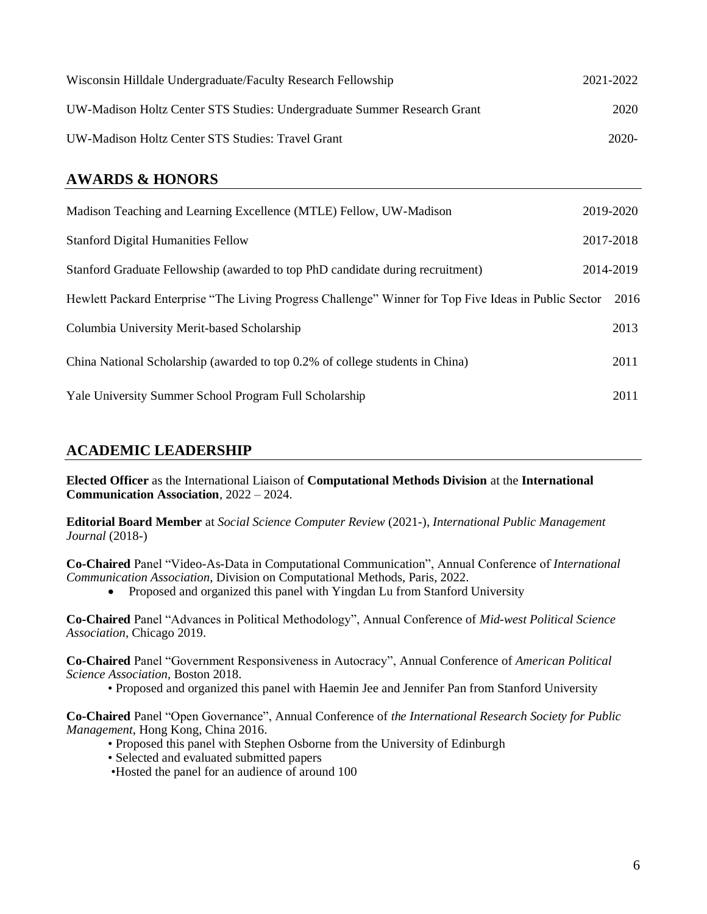| Wisconsin Hilldale Undergraduate/Faculty Research Fellowship             | 2021-2022 |
|--------------------------------------------------------------------------|-----------|
| UW-Madison Holtz Center STS Studies: Undergraduate Summer Research Grant | 2020      |
| UW-Madison Holtz Center STS Studies: Travel Grant                        | 2020-     |

# **AWARDS & HONORS**

| Madison Teaching and Learning Excellence (MTLE) Fellow, UW-Madison                                    | 2019-2020 |
|-------------------------------------------------------------------------------------------------------|-----------|
| <b>Stanford Digital Humanities Fellow</b>                                                             | 2017-2018 |
| Stanford Graduate Fellowship (awarded to top PhD candidate during recruitment)                        | 2014-2019 |
| Hewlett Packard Enterprise "The Living Progress Challenge" Winner for Top Five Ideas in Public Sector | -2016     |
| Columbia University Merit-based Scholarship                                                           | 2013      |
| China National Scholarship (awarded to top 0.2% of college students in China)                         | 2011      |
| Yale University Summer School Program Full Scholarship                                                | 2011      |

# **ACADEMIC LEADERSHIP**

**Elected Officer** as the International Liaison of **Computational Methods Division** at the **International Communication Association**, 2022 – 2024.

**Editorial Board Member** at *Social Science Computer Review* (2021-), *International Public Management Journal* (2018-)

**Co-Chaired** Panel "Video-As-Data in Computational Communication", Annual Conference of *International Communication Association*, Division on Computational Methods, Paris, 2022.

• Proposed and organized this panel with Yingdan Lu from Stanford University

**Co-Chaired** Panel "Advances in Political Methodology", Annual Conference of *Mid-west Political Science Association,* Chicago 2019.

**Co-Chaired** Panel "Government Responsiveness in Autocracy", Annual Conference of *American Political Science Association*, Boston 2018.

• Proposed and organized this panel with Haemin Jee and Jennifer Pan from Stanford University

**Co-Chaired** Panel "Open Governance", Annual Conference of *the International Research Society for Public Management*, Hong Kong, China 2016.

- Proposed this panel with Stephen Osborne from the University of Edinburgh
- Selected and evaluated submitted papers
- •Hosted the panel for an audience of around 100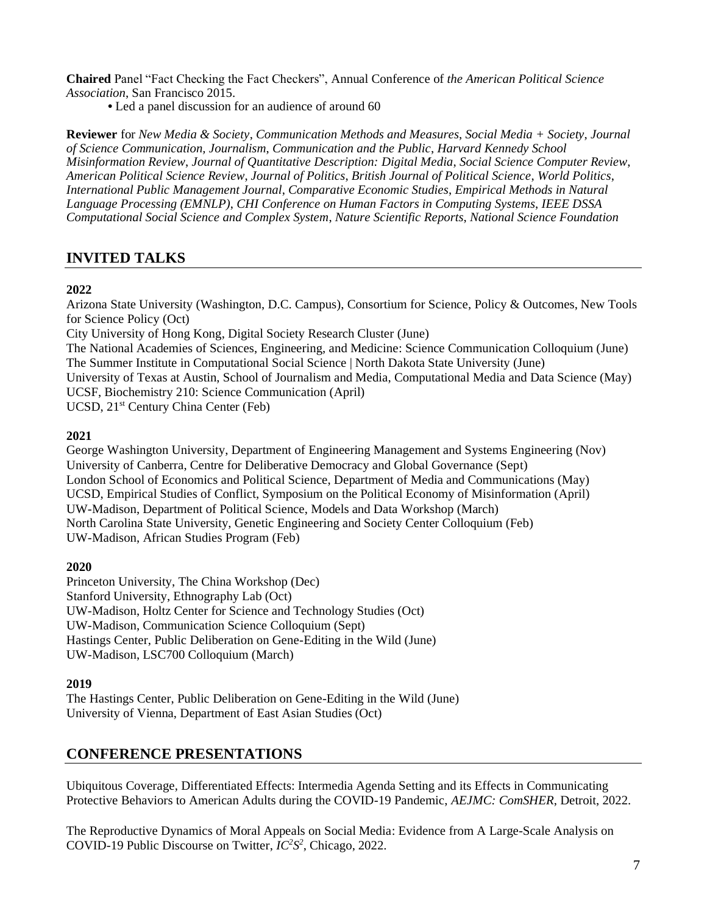**Chaired** Panel "Fact Checking the Fact Checkers", Annual Conference of *the American Political Science Association*, San Francisco 2015.

**•** Led a panel discussion for an audience of around 60

**Reviewer** for *New Media & Society*, *Communication Methods and Measures*, *Social Media + Society*, *Journal of Science Communication, Journalism*, *Communication and the Public*, *Harvard Kennedy School Misinformation Review*, *Journal of Quantitative Description: Digital Media*, *Social Science Computer Review*, *American Political Science Review*, *Journal of Politics*, *British Journal of Political Science*, *World Politics*, *International Public Management Journal*, *Comparative Economic Studies*, *Empirical Methods in Natural Language Processing (EMNLP)*, *CHI Conference on Human Factors in Computing Systems*, *IEEE DSSA Computational Social Science and Complex System*, *Nature Scientific Reports*, *National Science Foundation*

# **INVITED TALKS**

### **2022**

Arizona State University (Washington, D.C. Campus), Consortium for Science, Policy & Outcomes, New Tools for Science Policy (Oct) City University of Hong Kong, Digital Society Research Cluster (June) The National Academies of Sciences, Engineering, and Medicine: Science Communication Colloquium (June) The Summer Institute in Computational Social Science | North Dakota State University (June) University of Texas at Austin, School of Journalism and Media, Computational Media and Data Science (May)

UCSF, Biochemistry 210: Science Communication (April)

UCSD, 21st Century China Center (Feb)

### **2021**

George Washington University, Department of Engineering Management and Systems Engineering (Nov) University of Canberra, Centre for Deliberative Democracy and Global Governance (Sept) London School of Economics and Political Science, Department of Media and Communications (May) UCSD, Empirical Studies of Conflict, Symposium on the Political Economy of Misinformation (April) UW-Madison, Department of Political Science, Models and Data Workshop (March) North Carolina State University, Genetic Engineering and Society Center Colloquium (Feb) UW-Madison, African Studies Program (Feb)

### **2020**

Princeton University, The China Workshop (Dec) Stanford University, Ethnography Lab (Oct) UW-Madison, Holtz Center for Science and Technology Studies (Oct) UW-Madison, Communication Science Colloquium (Sept) Hastings Center, Public Deliberation on Gene-Editing in the Wild (June) UW-Madison, LSC700 Colloquium (March)

### **2019**

The Hastings Center, Public Deliberation on Gene-Editing in the Wild (June) University of Vienna, Department of East Asian Studies (Oct)

# **CONFERENCE PRESENTATIONS**

Ubiquitous Coverage, Differentiated Effects: Intermedia Agenda Setting and its Effects in Communicating Protective Behaviors to American Adults during the COVID-19 Pandemic, *AEJMC: ComSHER*, Detroit, 2022.

The Reproductive Dynamics of Moral Appeals on Social Media: Evidence from A Large-Scale Analysis on COVID-19 Public Discourse on Twitter, *IC<sup>2</sup>S 2* , Chicago, 2022.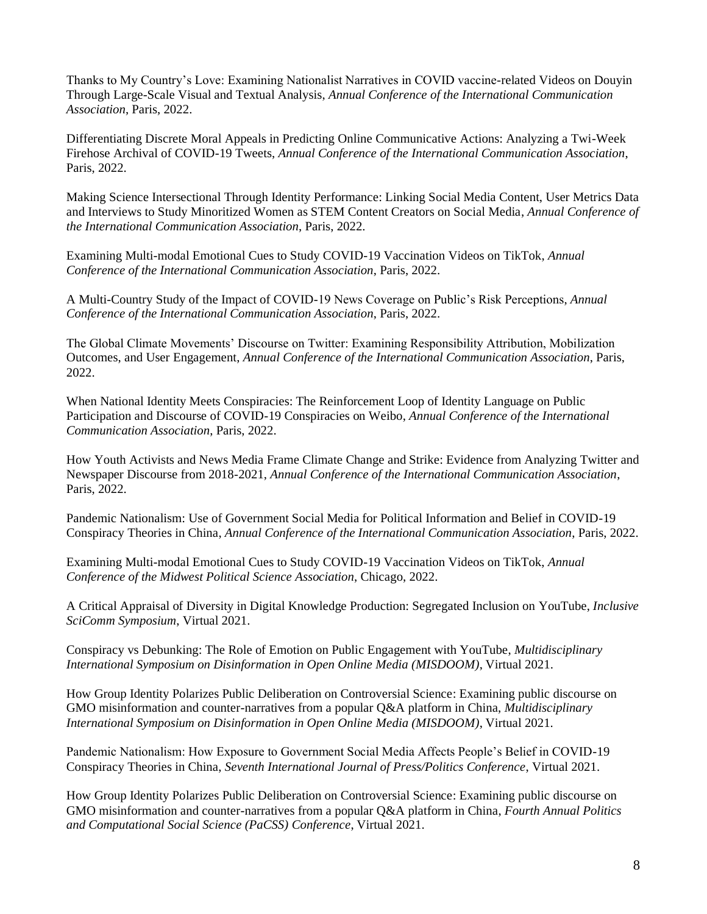Thanks to My Country's Love: Examining Nationalist Narratives in COVID vaccine-related Videos on Douyin Through Large-Scale Visual and Textual Analysis, *Annual Conference of the International Communication Association*, Paris, 2022.

Differentiating Discrete Moral Appeals in Predicting Online Communicative Actions: Analyzing a Twi-Week Firehose Archival of COVID-19 Tweets, *Annual Conference of the International Communication Association*, Paris, 2022.

Making Science Intersectional Through Identity Performance: Linking Social Media Content, User Metrics Data and Interviews to Study Minoritized Women as STEM Content Creators on Social Media, *Annual Conference of the International Communication Association*, Paris, 2022.

Examining Multi-modal Emotional Cues to Study COVID-19 Vaccination Videos on TikTok, *Annual Conference of the International Communication Association*, Paris, 2022.

A Multi-Country Study of the Impact of COVID-19 News Coverage on Public's Risk Perceptions, *Annual Conference of the International Communication Association*, Paris, 2022.

The Global Climate Movements' Discourse on Twitter: Examining Responsibility Attribution, Mobilization Outcomes, and User Engagement, *Annual Conference of the International Communication Association*, Paris, 2022.

When National Identity Meets Conspiracies: The Reinforcement Loop of Identity Language on Public Participation and Discourse of COVID-19 Conspiracies on Weibo, *Annual Conference of the International Communication Association*, Paris, 2022.

How Youth Activists and News Media Frame Climate Change and Strike: Evidence from Analyzing Twitter and Newspaper Discourse from 2018-2021, *Annual Conference of the International Communication Association*, Paris, 2022.

Pandemic Nationalism: Use of Government Social Media for Political Information and Belief in COVID-19 Conspiracy Theories in China, *Annual Conference of the International Communication Association*, Paris, 2022.

Examining Multi-modal Emotional Cues to Study COVID-19 Vaccination Videos on TikTok, *Annual Conference of the Midwest Political Science Association*, Chicago, 2022.

A Critical Appraisal of Diversity in Digital Knowledge Production: Segregated Inclusion on YouTube, *Inclusive SciComm Symposium*, Virtual 2021.

Conspiracy vs Debunking: The Role of Emotion on Public Engagement with YouTube, *Multidisciplinary International Symposium on Disinformation in Open Online Media (MISDOOM)*, Virtual 2021.

How Group Identity Polarizes Public Deliberation on Controversial Science: Examining public discourse on GMO misinformation and counter-narratives from a popular Q&A platform in China, *Multidisciplinary International Symposium on Disinformation in Open Online Media (MISDOOM)*, Virtual 2021.

Pandemic Nationalism: How Exposure to Government Social Media Affects People's Belief in COVID-19 Conspiracy Theories in China, *Seventh International Journal of Press/Politics Conference*, Virtual 2021.

How Group Identity Polarizes Public Deliberation on Controversial Science: Examining public discourse on GMO misinformation and counter-narratives from a popular Q&A platform in China, *Fourth Annual Politics and Computational Social Science (PaCSS) Conference*, Virtual 2021.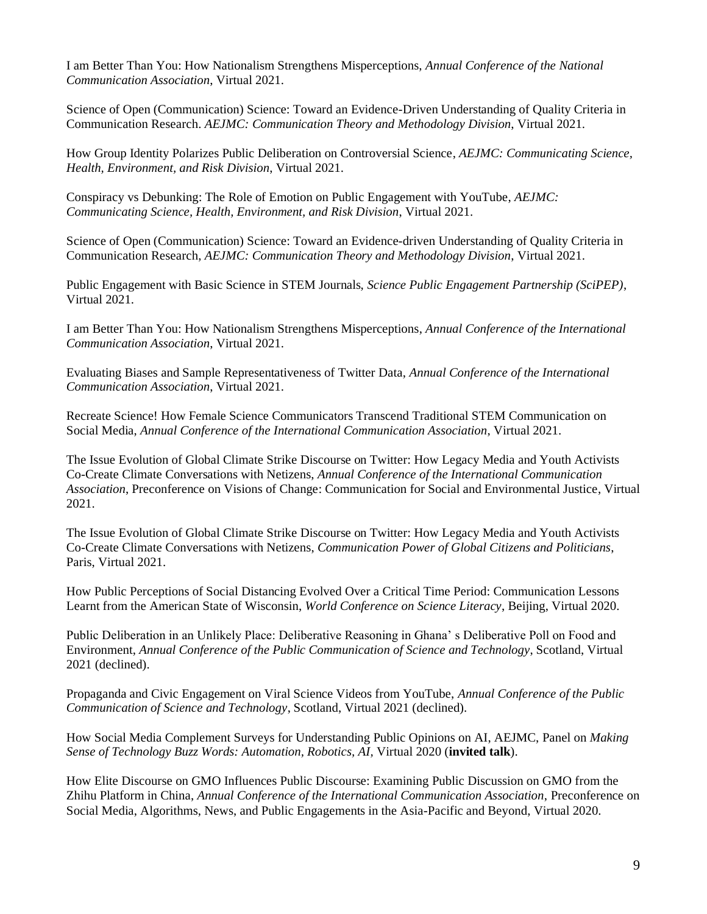I am Better Than You: How Nationalism Strengthens Misperceptions, *Annual Conference of the National Communication Association*, Virtual 2021.

Science of Open (Communication) Science: Toward an Evidence-Driven Understanding of Quality Criteria in Communication Research. *AEJMC: Communication Theory and Methodology Division*, Virtual 2021.

How Group Identity Polarizes Public Deliberation on Controversial Science, *AEJMC: Communicating Science, Health, Environment, and Risk Division*, Virtual 2021.

Conspiracy vs Debunking: The Role of Emotion on Public Engagement with YouTube, *AEJMC: Communicating Science, Health, Environment, and Risk Division*, Virtual 2021.

Science of Open (Communication) Science: Toward an Evidence-driven Understanding of Quality Criteria in Communication Research, *AEJMC: Communication Theory and Methodology Division*, Virtual 2021.

Public Engagement with Basic Science in STEM Journals, *Science Public Engagement Partnership (SciPEP)*, Virtual 2021.

I am Better Than You: How Nationalism Strengthens Misperceptions, *Annual Conference of the International Communication Association*, Virtual 2021.

Evaluating Biases and Sample Representativeness of Twitter Data, *Annual Conference of the International Communication Association*, Virtual 2021.

Recreate Science! How Female Science Communicators Transcend Traditional STEM Communication on Social Media, *Annual Conference of the International Communication Association*, Virtual 2021.

The Issue Evolution of Global Climate Strike Discourse on Twitter: How Legacy Media and Youth Activists Co-Create Climate Conversations with Netizens, *Annual Conference of the International Communication Association*, Preconference on Visions of Change: Communication for Social and Environmental Justice, Virtual 2021.

The Issue Evolution of Global Climate Strike Discourse on Twitter: How Legacy Media and Youth Activists Co-Create Climate Conversations with Netizens, *Communication Power of Global Citizens and Politicians*, Paris, Virtual 2021.

How Public Perceptions of Social Distancing Evolved Over a Critical Time Period: Communication Lessons Learnt from the American State of Wisconsin, *World Conference on Science Literacy*, Beijing, Virtual 2020.

Public Deliberation in an Unlikely Place: Deliberative Reasoning in Ghana' s Deliberative Poll on Food and Environment, *Annual Conference of the Public Communication of Science and Technology*, Scotland, Virtual 2021 (declined).

Propaganda and Civic Engagement on Viral Science Videos from YouTube, *Annual Conference of the Public Communication of Science and Technology*, Scotland, Virtual 2021 (declined).

How Social Media Complement Surveys for Understanding Public Opinions on AI, AEJMC, Panel on *Making Sense of Technology Buzz Words: Automation, Robotics, AI,* Virtual 2020 (**invited talk**).

How Elite Discourse on GMO Influences Public Discourse: Examining Public Discussion on GMO from the Zhihu Platform in China, *Annual Conference of the International Communication Association*, Preconference on Social Media, Algorithms, News, and Public Engagements in the Asia-Pacific and Beyond, Virtual 2020.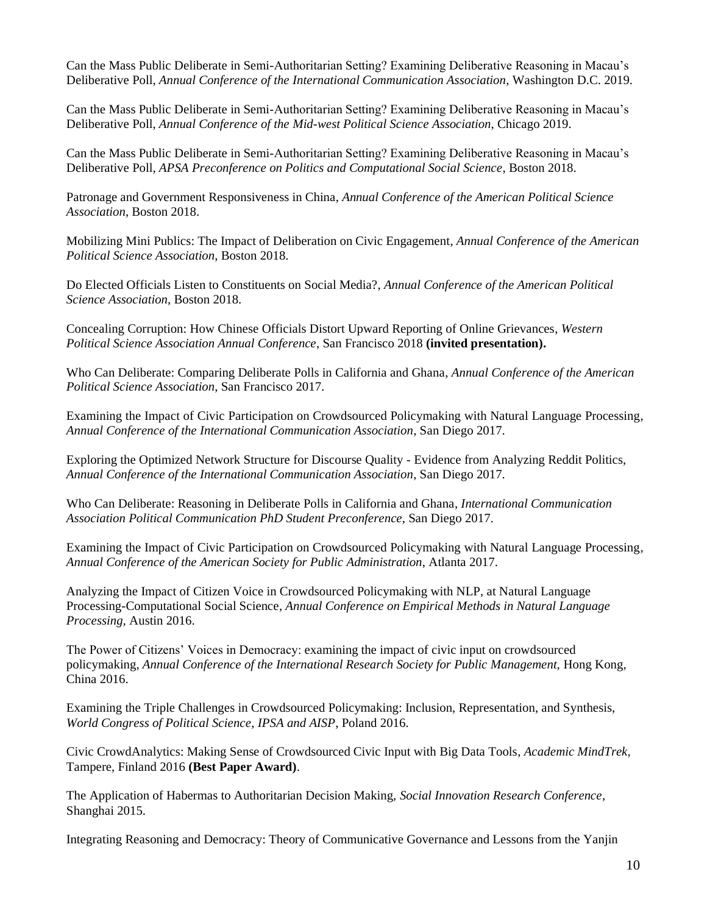Can the Mass Public Deliberate in Semi-Authoritarian Setting? Examining Deliberative Reasoning in Macau's Deliberative Poll, *Annual Conference of the International Communication Association*, Washington D.C. 2019.

Can the Mass Public Deliberate in Semi-Authoritarian Setting? Examining Deliberative Reasoning in Macau's Deliberative Poll, *Annual Conference of the Mid-west Political Science Association*, Chicago 2019.

Can the Mass Public Deliberate in Semi-Authoritarian Setting? Examining Deliberative Reasoning in Macau's Deliberative Poll, *APSA Preconference on Politics and Computational Social Science*, Boston 2018.

Patronage and Government Responsiveness in China, *Annual Conference of the American Political Science Association*, Boston 2018.

Mobilizing Mini Publics: The Impact of Deliberation on Civic Engagement, *Annual Conference of the American Political Science Association*, Boston 2018.

Do Elected Officials Listen to Constituents on Social Media?, *Annual Conference of the American Political Science Association*, Boston 2018.

Concealing Corruption: How Chinese Officials Distort Upward Reporting of Online Grievances, *Western Political Science Association Annual Conference*, San Francisco 2018 **(invited presentation).**

Who Can Deliberate: Comparing Deliberate Polls in California and Ghana, *Annual Conference of the American Political Science Association*, San Francisco 2017.

Examining the Impact of Civic Participation on Crowdsourced Policymaking with Natural Language Processing, *Annual Conference of the International Communication Association*, San Diego 2017.

Exploring the Optimized Network Structure for Discourse Quality - Evidence from Analyzing Reddit Politics, *Annual Conference of the International Communication Association*, San Diego 2017.

Who Can Deliberate: Reasoning in Deliberate Polls in California and Ghana, *International Communication Association Political Communication PhD Student Preconference*, San Diego 2017.

Examining the Impact of Civic Participation on Crowdsourced Policymaking with Natural Language Processing, *Annual Conference of the American Society for Public Administration*, Atlanta 2017.

Analyzing the Impact of Citizen Voice in Crowdsourced Policymaking with NLP, at Natural Language Processing-Computational Social Science, *Annual Conference on Empirical Methods in Natural Language Processing,* Austin 2016.

The Power of Citizens' Voices in Democracy: examining the impact of civic input on crowdsourced policymaking, *Annual Conference of the International Research Society for Public Management*, Hong Kong, China 2016.

Examining the Triple Challenges in Crowdsourced Policymaking: Inclusion, Representation, and Synthesis, *World Congress of Political Science, IPSA and AISP*, Poland 2016.

Civic CrowdAnalytics: Making Sense of Crowdsourced Civic Input with Big Data Tools, *Academic MindTrek,*  Tampere, Finland 2016 **(Best Paper Award)**.

The Application of Habermas to Authoritarian Decision Making, *Social Innovation Research Conference*, Shanghai 2015.

Integrating Reasoning and Democracy: Theory of Communicative Governance and Lessons from the Yanjin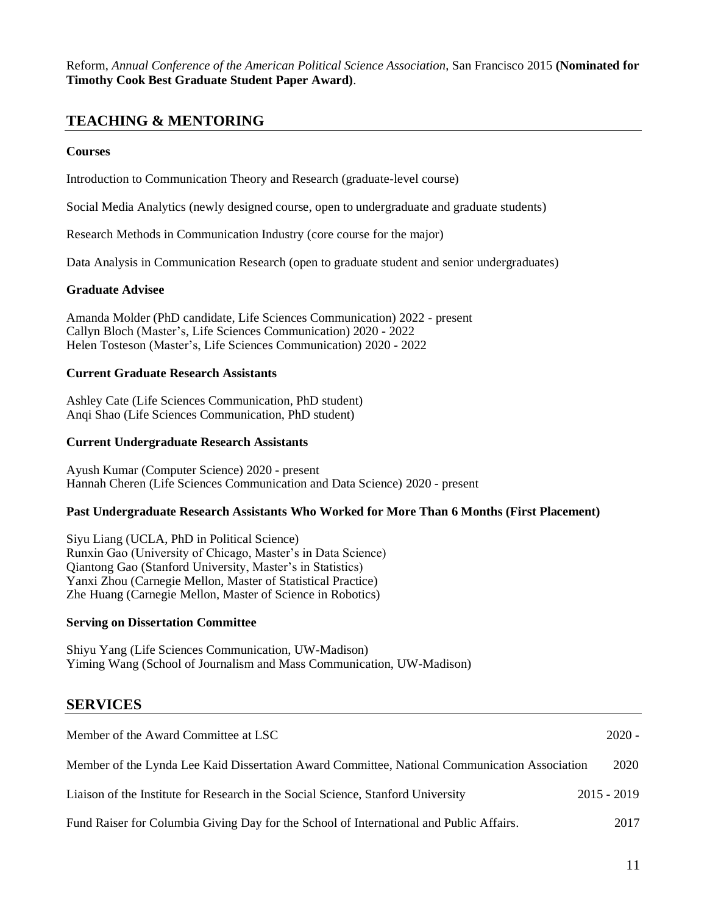Reform, *Annual Conference of the American Political Science Association*, San Francisco 2015 **(Nominated for Timothy Cook Best Graduate Student Paper Award)**.

### **TEACHING & MENTORING**

#### **Courses**

Introduction to Communication Theory and Research (graduate-level course)

Social Media Analytics (newly designed course, open to undergraduate and graduate students)

Research Methods in Communication Industry (core course for the major)

Data Analysis in Communication Research (open to graduate student and senior undergraduates)

#### **Graduate Advisee**

Amanda Molder (PhD candidate, Life Sciences Communication) 2022 - present Callyn Bloch (Master's, Life Sciences Communication) 2020 - 2022 Helen Tosteson (Master's, Life Sciences Communication) 2020 - 2022

#### **Current Graduate Research Assistants**

Ashley Cate (Life Sciences Communication, PhD student) Anqi Shao (Life Sciences Communication, PhD student)

#### **Current Undergraduate Research Assistants**

Ayush Kumar (Computer Science) 2020 - present Hannah Cheren (Life Sciences Communication and Data Science) 2020 - present

### **Past Undergraduate Research Assistants Who Worked for More Than 6 Months (First Placement)**

Siyu Liang (UCLA, PhD in Political Science) Runxin Gao (University of Chicago, Master's in Data Science) Qiantong Gao (Stanford University, Master's in Statistics) Yanxi Zhou (Carnegie Mellon, Master of Statistical Practice) Zhe Huang (Carnegie Mellon, Master of Science in Robotics)

#### **Serving on Dissertation Committee**

Shiyu Yang (Life Sciences Communication, UW-Madison) Yiming Wang (School of Journalism and Mass Communication, UW-Madison)

### **SERVICES**

| Member of the Award Committee at LSC                                                          | $2020 -$      |
|-----------------------------------------------------------------------------------------------|---------------|
| Member of the Lynda Lee Kaid Dissertation Award Committee, National Communication Association | 2020          |
| Liaison of the Institute for Research in the Social Science, Stanford University              | $2015 - 2019$ |
| Fund Raiser for Columbia Giving Day for the School of International and Public Affairs.       | 2017          |